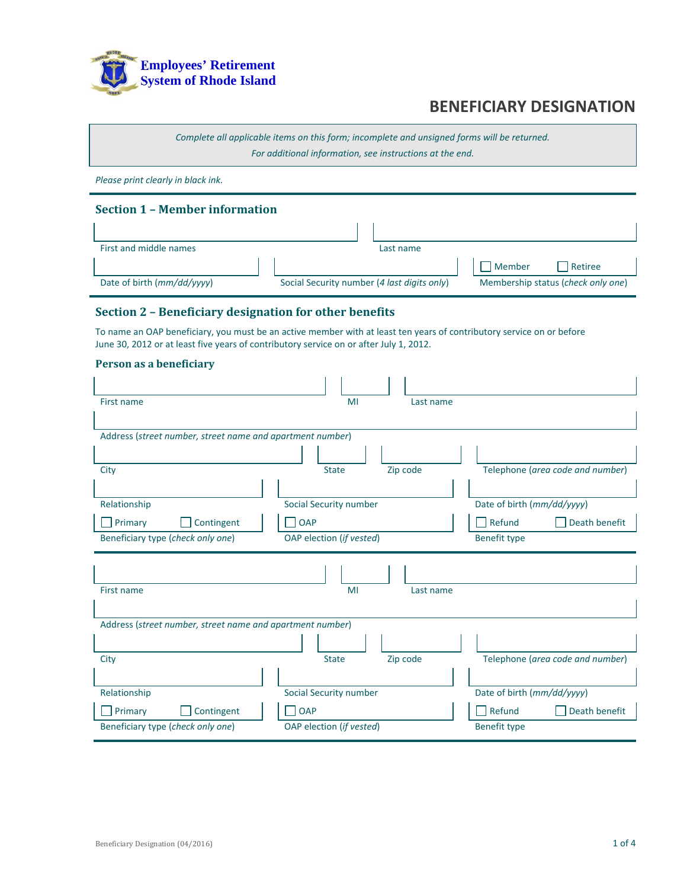

*Complete all applicable items on this form; incomplete and unsigned forms will be returned. For additional information, see instructions at the end.*

*Please print clearly in black ink.*

### **Section 1 – Member information**

| First and middle names     |                                             | Last name |        |                                    |
|----------------------------|---------------------------------------------|-----------|--------|------------------------------------|
|                            |                                             |           | Member | <b>Retiree</b>                     |
| Date of birth (mm/dd/yyyy) | Social Security number (4 last digits only) |           |        | Membership status (check only one) |

#### **Section 2 – Beneficiary designation for other benefits**

To name an OAP beneficiary, you must be an active member with at least ten years of contributory service on or before June 30, 2012 or at least five years of contributory service on or after July 1, 2012.

| Person as a beneficiary |  |  |  |
|-------------------------|--|--|--|
|                         |  |  |  |

| First name                                                | MI                       | Last name                        |
|-----------------------------------------------------------|--------------------------|----------------------------------|
|                                                           |                          |                                  |
| Address (street number, street name and apartment number) |                          |                                  |
|                                                           |                          |                                  |
| City                                                      | Zip code<br><b>State</b> | Telephone (area code and number) |
|                                                           |                          |                                  |
| Relationship                                              | Social Security number   | Date of birth (mm/dd/yyyy)       |
| Contingent<br>Primary                                     | $\bigcap$ OAP            | Refund<br>Death benefit          |
| Beneficiary type (check only one)                         | OAP election (if vested) | Benefit type                     |
|                                                           |                          |                                  |
| First name                                                | MI                       | Last name                        |
| Address (street number, street name and apartment number) |                          |                                  |
|                                                           |                          |                                  |
| City                                                      | Zip code<br><b>State</b> | Telephone (area code and number) |
|                                                           |                          |                                  |
| Relationship                                              | Social Security number   | Date of birth (mm/dd/yyyy)       |
| Contingent<br>Primary                                     | <b>OAP</b>               | Refund<br>Death benefit          |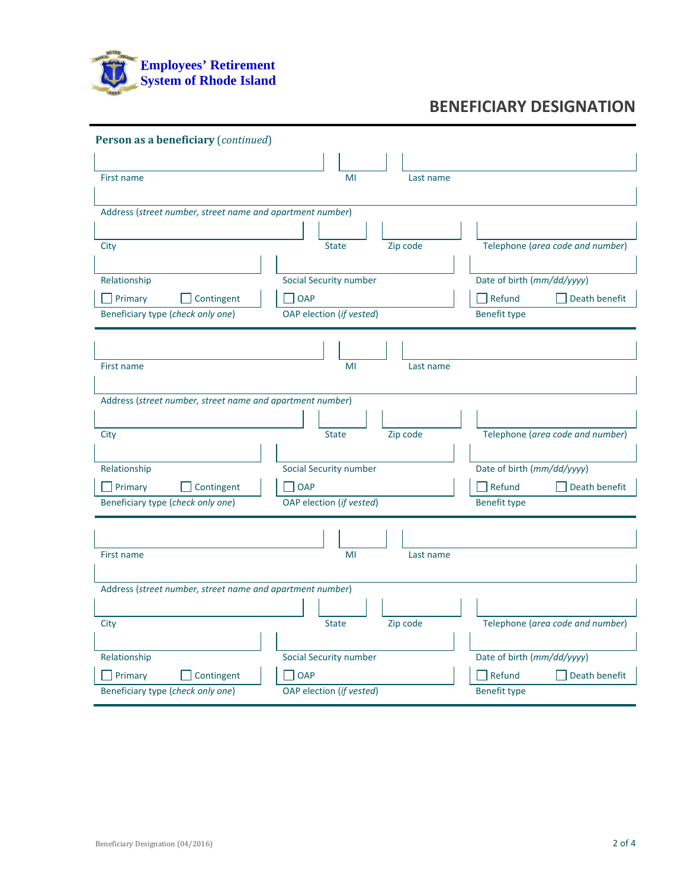

| Person as a beneficiary (continued)                       |                                             |                                                       |
|-----------------------------------------------------------|---------------------------------------------|-------------------------------------------------------|
|                                                           |                                             |                                                       |
| First name                                                | MI<br>Last name                             |                                                       |
|                                                           |                                             |                                                       |
| Address (street number, street name and apartment number) |                                             |                                                       |
|                                                           |                                             |                                                       |
| City                                                      | Zip code<br><b>State</b>                    | Telephone (area code and number)                      |
|                                                           |                                             |                                                       |
| Relationship                                              | Social Security number                      | Date of birth (mm/dd/yyyy)                            |
| Primary<br>Contingent                                     | OAP                                         | $\exists$ Refund<br>Death benefit                     |
| Beneficiary type (check only one)                         | OAP election (if vested)                    | <b>Benefit type</b>                                   |
|                                                           |                                             |                                                       |
|                                                           |                                             |                                                       |
| First name                                                | MI<br>Last name                             |                                                       |
|                                                           |                                             |                                                       |
| Address (street number, street name and apartment number) |                                             |                                                       |
|                                                           |                                             |                                                       |
| City                                                      | Zip code<br><b>State</b>                    | Telephone (area code and number)                      |
|                                                           |                                             |                                                       |
| Relationship                                              | Social Security number                      | Date of birth (mm/dd/yyyy)                            |
| Primary<br>Contingent                                     | <b>OAP</b>                                  | Death benefit<br>Refund                               |
| Beneficiary type (check only one)                         | OAP election (if vested)                    | <b>Benefit type</b>                                   |
|                                                           |                                             |                                                       |
|                                                           | MI                                          |                                                       |
| First name                                                | Last name                                   |                                                       |
| Address (street number, street name and apartment number) |                                             |                                                       |
|                                                           |                                             |                                                       |
| City                                                      | Zip code<br><b>State</b>                    | Telephone (area code and number)                      |
|                                                           |                                             |                                                       |
|                                                           |                                             |                                                       |
|                                                           |                                             |                                                       |
| Relationship<br>Primary<br>Contingent                     | <b>Social Security number</b><br><b>OAP</b> | Date of birth (mm/dd/yyyy)<br>Refund<br>Death benefit |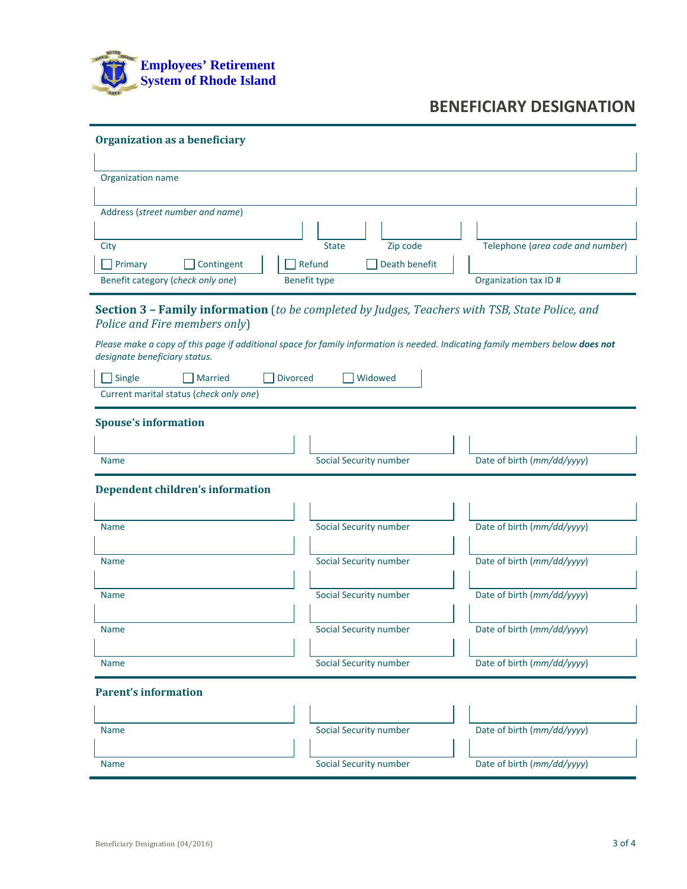

| <b>Organization as a beneficiary</b>    |                                                                                                                                |                                  |
|-----------------------------------------|--------------------------------------------------------------------------------------------------------------------------------|----------------------------------|
|                                         |                                                                                                                                |                                  |
| Organization name                       |                                                                                                                                |                                  |
| Address (street number and name)        |                                                                                                                                |                                  |
|                                         |                                                                                                                                |                                  |
| City                                    | Zip code<br><b>State</b>                                                                                                       | Telephone (area code and number) |
| $\Box$ Primary<br>Contingent            | Refund<br>Death benefit                                                                                                        |                                  |
| Benefit category (check only one)       | <b>Benefit type</b>                                                                                                            | Organization tax ID#             |
|                                         | <b>Section 3 - Family information</b> (to be completed by Judges, Teachers with TSB, State Police, and                         |                                  |
| Police and Fire members only)           |                                                                                                                                |                                  |
|                                         | Please make a copy of this page if additional space for family information is needed. Indicating family members below does not |                                  |
| designate beneficiary status.           |                                                                                                                                |                                  |
| Single<br><b>Married</b>                | <b>Divorced</b><br>Widowed                                                                                                     |                                  |
| Current marital status (check only one) |                                                                                                                                |                                  |
| <b>Spouse's information</b>             |                                                                                                                                |                                  |
|                                         |                                                                                                                                |                                  |
| <b>Name</b>                             | Social Security number                                                                                                         | Date of birth (mm/dd/yyyy)       |
|                                         |                                                                                                                                |                                  |
| <b>Dependent children's information</b> |                                                                                                                                |                                  |
|                                         |                                                                                                                                |                                  |
| <b>Name</b>                             | Social Security number                                                                                                         | Date of birth (mm/dd/yyyy)       |
|                                         |                                                                                                                                |                                  |
| <b>Name</b>                             | Social Security number                                                                                                         | Date of birth (mm/dd/yyyy)       |
|                                         |                                                                                                                                |                                  |
| <b>Name</b>                             | Social Security number                                                                                                         | Date of birth (mm/dd/yyyy)       |
|                                         |                                                                                                                                |                                  |
| <b>Name</b>                             | Social Security number                                                                                                         | Date of birth (mm/dd/yyyy)       |
|                                         |                                                                                                                                |                                  |
| <b>Name</b>                             | Social Security number                                                                                                         | Date of birth (mm/dd/yyyy)       |
|                                         |                                                                                                                                |                                  |
| <b>Parent's information</b>             |                                                                                                                                |                                  |
|                                         |                                                                                                                                |                                  |
| <b>Name</b>                             | Social Security number                                                                                                         | Date of birth (mm/dd/yyyy)       |
|                                         |                                                                                                                                |                                  |
| <b>Name</b>                             | Social Security number                                                                                                         | Date of birth (mm/dd/yyyy)       |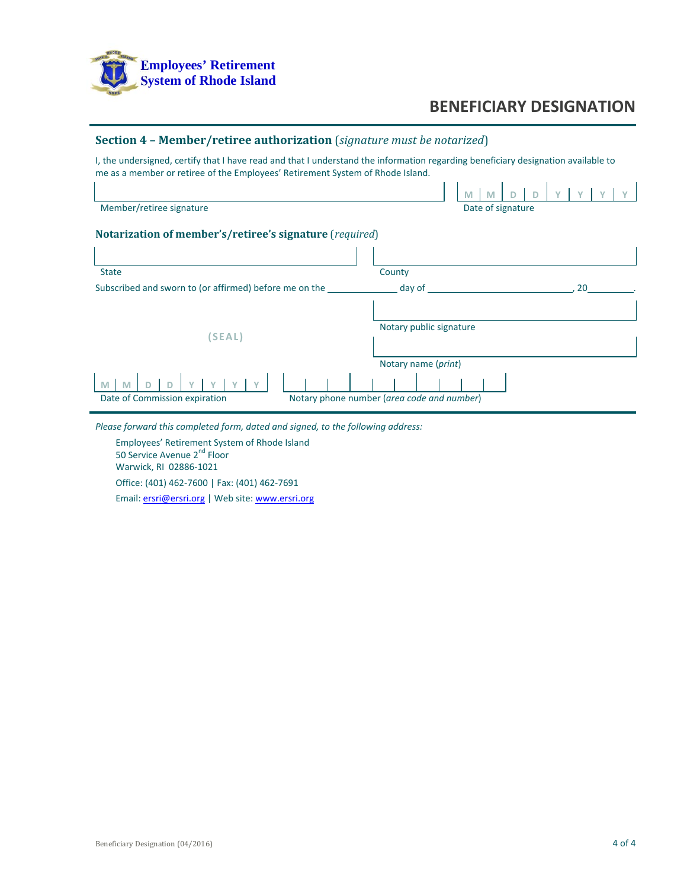

### **Section 4 – Member/retiree authorization** (*signature must be notarized*)

I, the undersigned, certify that I have read and that I understand the information regarding beneficiary designation available to me as a member or retiree of the Employees' Retirement System of Rhode Island.

|                                                         | M<br>M                                                            |
|---------------------------------------------------------|-------------------------------------------------------------------|
| Member/retiree signature                                | Date of signature                                                 |
| Notarization of member's/retiree's signature (required) |                                                                   |
|                                                         |                                                                   |
| <b>State</b>                                            | County                                                            |
| Subscribed and sworn to (or affirmed) before me on the  | day of<br>20                                                      |
| (SEAL)                                                  | Notary public signature                                           |
| M<br>M<br>Date of Commission expiration                 | Notary name (print)<br>Notary phone number (area code and number) |

*Please forward this completed form, dated and signed, to the following address:*

Employees' Retirement System of Rhode Island 50 Service Avenue 2<sup>nd</sup> Floor Warwick, RI 02886‐1021 Office: (401) 462‐7600 | Fax: (401) 462‐7691 Email: ersri@ersri.org | Web site: www.ersri.org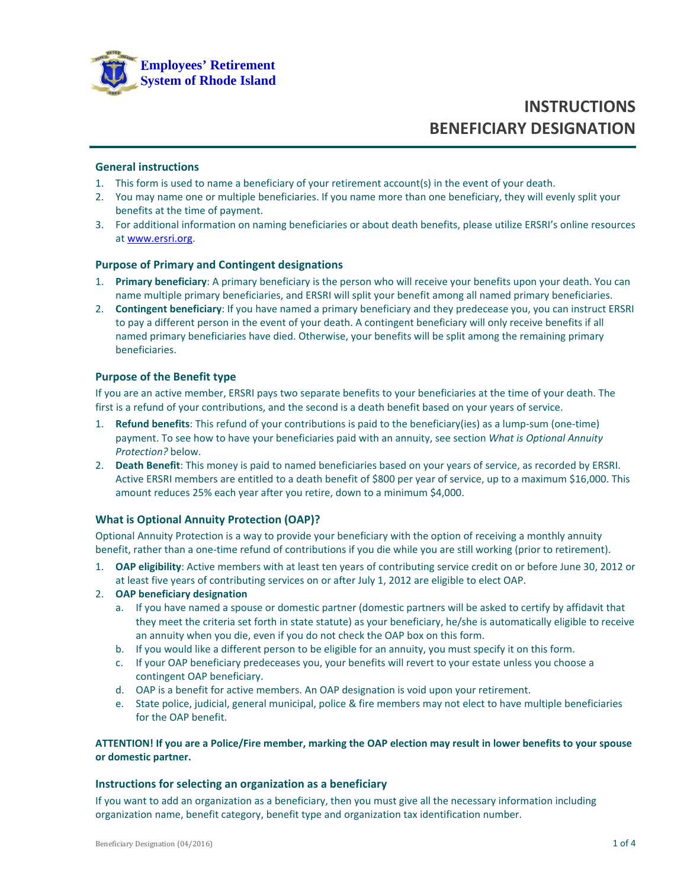

#### **General instructions**

- 1. This form is used to name a beneficiary of your retirement account(s) in the event of your death.
- 2. You may name one or multiple beneficiaries. If you name more than one beneficiary, they will evenly split your benefits at the time of payment.
- 3. For additional information on naming beneficiaries or about death benefits, please utilize ERSRI's online resources at www.ersri.org.

#### **Purpose of Primary and Contingent designations**

- 1. **Primary beneficiary**: A primary beneficiary is the person who will receive your benefits upon your death. You can name multiple primary beneficiaries, and ERSRI will split your benefit among all named primary beneficiaries.
- 2. **Contingent beneficiary**: If you have named a primary beneficiary and they predecease you, you can instruct ERSRI to pay a different person in the event of your death. A contingent beneficiary will only receive benefits if all named primary beneficiaries have died. Otherwise, your benefits will be split among the remaining primary beneficiaries.

#### **Purpose of the Benefit type**

If you are an active member, ERSRI pays two separate benefits to your beneficiaries at the time of your death. The first is a refund of your contributions, and the second is a death benefit based on your years of service.

- 1. **Refund benefits**: This refund of your contributions is paid to the beneficiary(ies) as a lump-sum (one-time) payment. To see how to have your beneficiaries paid with an annuity, see section *What is Optional Annuity Protection?* below.
- 2. **Death Benefit**: This money is paid to named beneficiaries based on your years of service, as recorded by ERSRI. Active ERSRI members are entitled to a death benefit of \$800 per year of service, up to a maximum \$16,000. This amount reduces 25% each year after you retire, down to a minimum \$4,000.

#### **What is Optional Annuity Protection (OAP)?**

Optional Annuity Protection is a way to provide your beneficiary with the option of receiving a monthly annuity benefit, rather than a one-time refund of contributions if you die while you are still working (prior to retirement).

1. **OAP eligibility**: Active members with at least ten years of contributing service credit on or before June 30, 2012 or at least five years of contributing services on or after July 1, 2012 are eligible to elect OAP.

#### 2. **OAP beneficiary designation**

- a. If you have named a spouse or domestic partner (domestic partners will be asked to certify by affidavit that they meet the criteria set forth in state statute) as your beneficiary, he/she is automatically eligible to receive an annuity when you die, even if you do not check the OAP box on this form.
- b. If you would like a different person to be eligible for an annuity, you must specify it on this form.
- c. If your OAP beneficiary predeceases you, your benefits will revert to your estate unless you choose a contingent OAP beneficiary.
- d. OAP is a benefit for active members. An OAP designation is void upon your retirement.
- e. State police, judicial, general municipal, police & fire members may not elect to have multiple beneficiaries for the OAP benefit.

#### ATTENTION! If you are a Police/Fire member, marking the OAP election may result in lower benefits to your spouse **or domestic partner.**

#### **Instructions for selecting an organization as a beneficiary**

If you want to add an organization as a beneficiary, then you must give all the necessary information including organization name, benefit category, benefit type and organization tax identification number.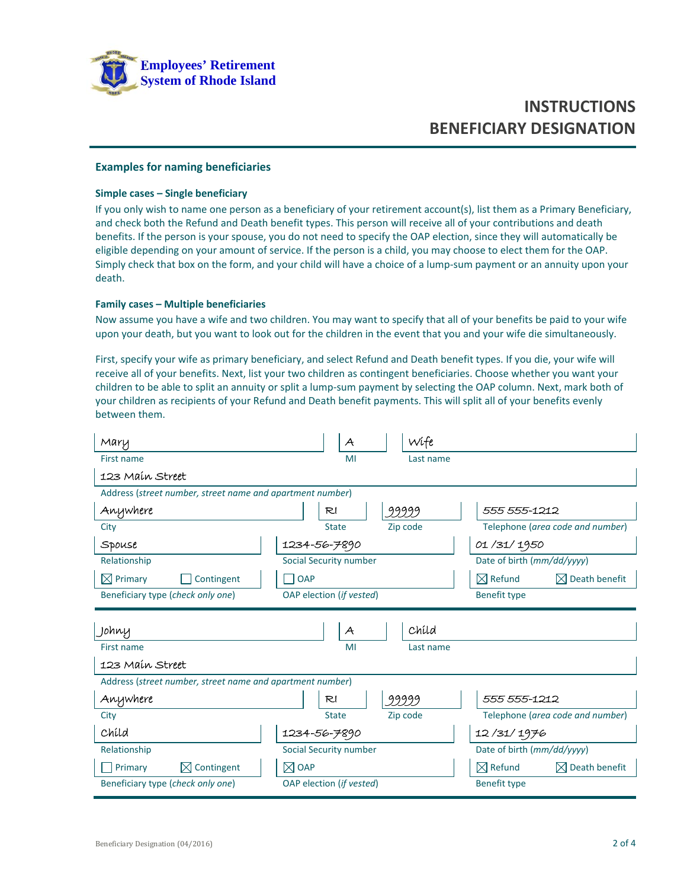

#### **Examples for naming beneficiaries**

#### **Simple cases – Single beneficiary**

If you only wish to name one person as a beneficiary of your retirement account(s), list them as a Primary Beneficiary, and check both the Refund and Death benefit types. This person will receive all of your contributions and death benefits. If the person is your spouse, you do not need to specify the OAP election, since they will automatically be eligible depending on your amount of service. If the person is a child, you may choose to elect them for the OAP. Simply check that box on the form, and your child will have a choice of a lump‐sum payment or an annuity upon your death.

#### **Family cases – Multiple beneficiaries**

Now assume you have a wife and two children. You may want to specify that all of your benefits be paid to your wife upon your death, but you want to look out for the children in the event that you and your wife die simultaneously.

First, specify your wife as primary beneficiary, and select Refund and Death benefit types. If you die, your wife will receive all of your benefits. Next, list your two children as contingent beneficiaries. Choose whether you want your children to be able to split an annuity or split a lump‐sum payment by selecting the OAP column. Next, mark both of your children as recipients of your Refund and Death benefit payments. This will split all of your benefits evenly between them.

| Mary                                                      | $\mathcal{A}$            | Wife      |                                                 |
|-----------------------------------------------------------|--------------------------|-----------|-------------------------------------------------|
| First name                                                | MI                       | Last name |                                                 |
| 123 Main Street                                           |                          |           |                                                 |
| Address (street number, street name and apartment number) |                          |           |                                                 |
| Anywhere                                                  | R <sub>1</sub>           | 99999     | 555 555-1212                                    |
| City                                                      | <b>State</b>             | Zip code  | Telephone (area code and number)                |
| Spouse                                                    | 1234-56-7890             |           | 01/31/1950                                      |
| Relationship                                              | Social Security number   |           | Date of birth (mm/dd/yyyy)                      |
| $\boxtimes$ Primary<br>Contingent                         | OAP                      |           | $\boxtimes$ Refund<br>$\boxtimes$ Death benefit |
| Beneficiary type (check only one)                         | OAP election (if vested) |           | <b>Benefit type</b>                             |
|                                                           |                          |           |                                                 |
|                                                           |                          |           |                                                 |
| Johny                                                     | $\mathcal{A}$            | Child     |                                                 |
| First name                                                | MI                       | Last name |                                                 |
| 123 Main Street                                           |                          |           |                                                 |
| Address (street number, street name and apartment number) |                          |           |                                                 |
| Anywhere                                                  | R <sub>l</sub>           | 99999     | 555 555-1212                                    |
| City                                                      | <b>State</b>             | Zip code  | Telephone (area code and number)                |
| Chíld                                                     | 1234-56-7890             |           | 12/31/1976                                      |
| Relationship                                              | Social Security number   |           | Date of birth (mm/dd/yyyy)                      |
| $\boxtimes$ Contingent<br>Primary                         | $\boxtimes$ OAP          |           | $\boxtimes$ Refund<br>$\boxtimes$ Death benefit |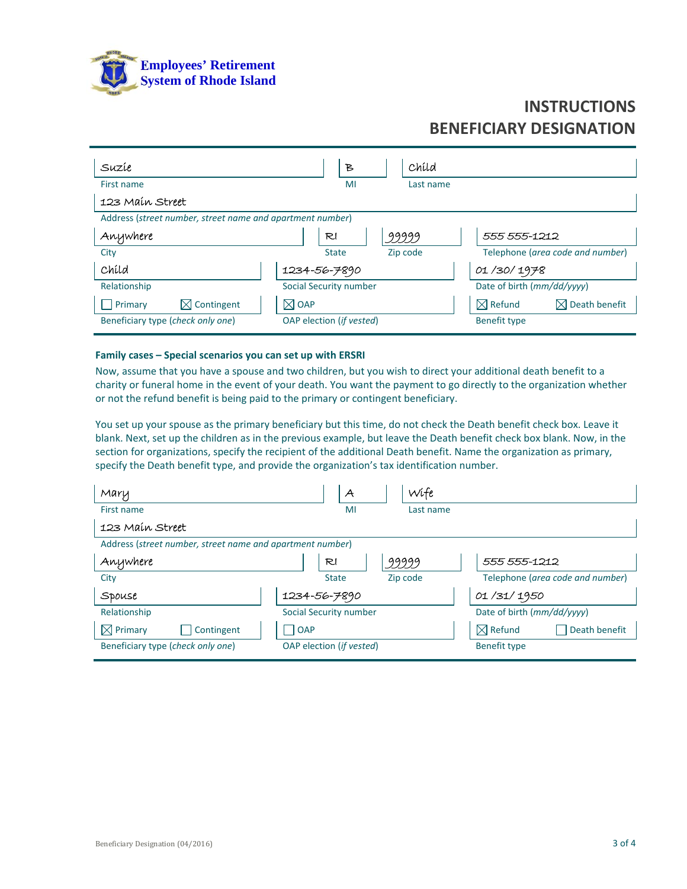

| Suzíe                                                                  | Ъ                                           | Chíld                                                                  |
|------------------------------------------------------------------------|---------------------------------------------|------------------------------------------------------------------------|
| First name                                                             | MI                                          | Last name                                                              |
| 123 Main Street                                                        |                                             |                                                                        |
| Address (street number, street name and apartment number)              |                                             |                                                                        |
| Anywhere                                                               | RI                                          | 99999<br>555 555-1212                                                  |
| City                                                                   | <b>State</b>                                | Telephone (area code and number)<br>Zip code                           |
| Child                                                                  | 1234-56-7890                                | 01/30/1978                                                             |
| Relationship                                                           | <b>Social Security number</b>               | Date of birth (mm/dd/yyyy)                                             |
| $\boxtimes$ Contingent<br>Primary<br>Beneficiary type (check only one) | $\boxtimes$ OAP<br>OAP election (if vested) | $\boxtimes$ Refund<br>$\boxtimes$ Death benefit<br><b>Benefit type</b> |

#### **Family cases – Special scenarios you can set up with ERSRI**

Now, assume that you have a spouse and two children, but you wish to direct your additional death benefit to a charity or funeral home in the event of your death. You want the payment to go directly to the organization whether or not the refund benefit is being paid to the primary or contingent beneficiary.

You set up your spouse as the primary beneficiary but this time, do not check the Death benefit check box. Leave it blank. Next, set up the children as in the previous example, but leave the Death benefit check box blank. Now, in the section for organizations, specify the recipient of the additional Death benefit. Name the organization as primary, specify the Death benefit type, and provide the organization's tax identification number.

| Mary                                                      | Wife<br>$\mathcal{A}$    |                                     |
|-----------------------------------------------------------|--------------------------|-------------------------------------|
| First name                                                | MI<br>Last name          |                                     |
| 123 Main Street                                           |                          |                                     |
| Address (street number, street name and apartment number) |                          |                                     |
| Anywhere                                                  | 99999<br>RI              | 555 555-1212                        |
| City                                                      | Zip code<br><b>State</b> | Telephone (area code and number)    |
| SPOUSE                                                    | 1234-56-7890             | 01/31/1950                          |
| Relationship                                              | Social Security number   | Date of birth (mm/dd/yyyy)          |
| $\boxtimes$ Primary<br>Contingent                         | $\overline{OAP}$         | $\boxtimes$ Refund<br>Death benefit |
| Beneficiary type (check only one)                         | OAP election (if vested) | <b>Benefit type</b>                 |